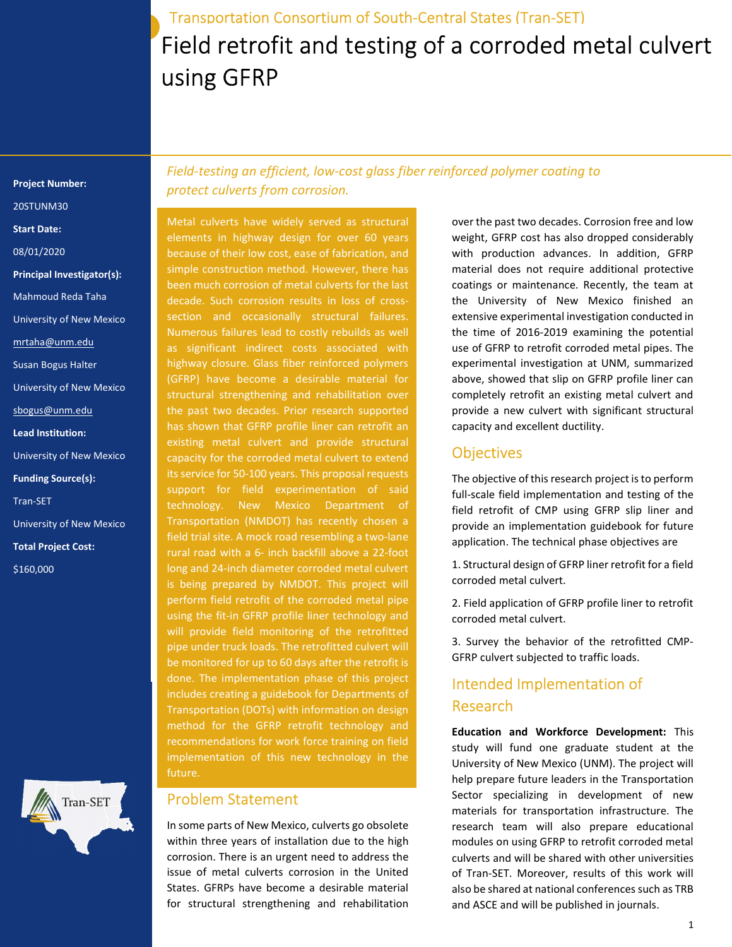# Field retrofit and testing of a corroded metal culvert using GFRP Transportation Consortium of South-Central States (Tran-SET)

Project Number: 20STUNM30 Start Date: 08/01/2020 Principal Investigator(s): Mahmoud Reda Taha University of New Mexico mrtaha@unm.edu Susan Bogus Halter University of New Mexico sbogus@unm.edu Lead Institution: University of New Mexico Funding Source(s): Tran-SET

University of New Mexico Total Project Cost: \$160,000



Field-testing an efficient, low-cost glass fiber reinforced polymer coating to protect culverts from corrosion.

Metal culverts have widely served as structural elements in highway design for over 60 years because of their low cost, ease of fabrication, and simple construction method. However, there has been much corrosion of metal culverts for the last decade. Such corrosion results in loss of crosssection and occasionally structural failures. Numerous failures lead to costly rebuilds as well as significant indirect costs associated with highway closure. Glass fiber reinforced polymers (GFRP) have become a desirable material for structural strengthening and rehabilitation over the past two decades. Prior research supported has shown that GFRP profile liner can retrofit an existing metal culvert and provide structural capacity for the corroded metal culvert to extend its service for 50-100 years. This proposal requests support for field experimentation of said technology. New Mexico Department of Transportation (NMDOT) has recently chosen a field trial site. A mock road resembling a two-lane rural road with a 6- inch backfill above a 22-foot long and 24-inch diameter corroded metal culvert is being prepared by NMDOT. This project will perform field retrofit of the corroded metal pipe using the fit-in GFRP profile liner technology and will provide field monitoring of the retrofitted pipe under truck loads. The retrofitted culvert will be monitored for up to 60 days after the retrofit is done. The implementation phase of this project includes creating a guidebook for Departments of Transportation (DOTs) with information on design method for the GFRP retrofit technology and recommendations for work force training on field implementation of this new technology in the future.

#### Problem Statement

In some parts of New Mexico, culverts go obsolete within three years of installation due to the high corrosion. There is an urgent need to address the issue of metal culverts corrosion in the United States. GFRPs have become a desirable material for structural strengthening and rehabilitation

over the past two decades. Corrosion free and low weight, GFRP cost has also dropped considerably with production advances. In addition, GFRP material does not require additional protective coatings or maintenance. Recently, the team at the University of New Mexico finished an extensive experimental investigation conducted in the time of 2016-2019 examining the potential use of GFRP to retrofit corroded metal pipes. The experimental investigation at UNM, summarized above, showed that slip on GFRP profile liner can completely retrofit an existing metal culvert and provide a new culvert with significant structural capacity and excellent ductility.

## **Objectives**

The objective of this research project is to perform full-scale field implementation and testing of the field retrofit of CMP using GFRP slip liner and provide an implementation guidebook for future application. The technical phase objectives are

1. Structural design of GFRP liner retrofit for a field corroded metal culvert.

2. Field application of GFRP profile liner to retrofit corroded metal culvert.

3. Survey the behavior of the retrofitted CMP-GFRP culvert subjected to traffic loads.

## Intended Implementation of Research

Education and Workforce Development: This study will fund one graduate student at the University of New Mexico (UNM). The project will help prepare future leaders in the Transportation Sector specializing in development of new materials for transportation infrastructure. The research team will also prepare educational modules on using GFRP to retrofit corroded metal culverts and will be shared with other universities of Tran-SET. Moreover, results of this work will also be shared at national conferences such as TRB and ASCE and will be published in journals.